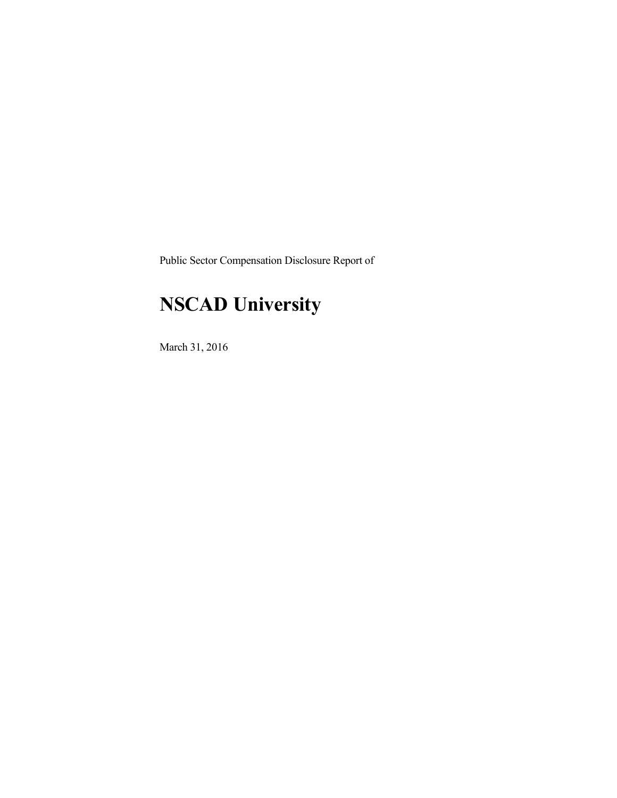Public Sector Compensation Disclosure Report of

## **NSCAD University**

March 31, 2016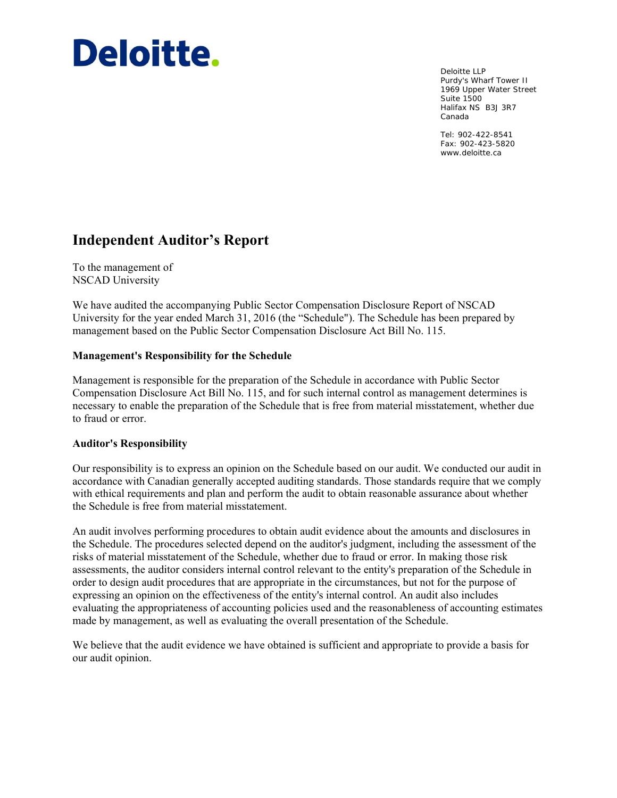# Deloitte.

Deloitte LLP Purdy's Wharf Tower II 1969 Upper Water Street Suite 1500 Halifax NS B3J 3R7 Canada

Tel: 902-422-8541 Fax: 902-423-5820 www.deloitte.ca

### **Independent Auditor's Report**

To the management of NSCAD University

We have audited the accompanying Public Sector Compensation Disclosure Report of NSCAD University for the year ended March 31, 2016 (the "Schedule"). The Schedule has been prepared by management based on the Public Sector Compensation Disclosure Act Bill No. 115.

#### **Management's Responsibility for the Schedule**

Management is responsible for the preparation of the Schedule in accordance with Public Sector Compensation Disclosure Act Bill No. 115, and for such internal control as management determines is necessary to enable the preparation of the Schedule that is free from material misstatement, whether due to fraud or error.

#### **Auditor's Responsibility**

Our responsibility is to express an opinion on the Schedule based on our audit. We conducted our audit in accordance with Canadian generally accepted auditing standards. Those standards require that we comply with ethical requirements and plan and perform the audit to obtain reasonable assurance about whether the Schedule is free from material misstatement.

An audit involves performing procedures to obtain audit evidence about the amounts and disclosures in the Schedule. The procedures selected depend on the auditor's judgment, including the assessment of the risks of material misstatement of the Schedule, whether due to fraud or error. In making those risk assessments, the auditor considers internal control relevant to the entity's preparation of the Schedule in order to design audit procedures that are appropriate in the circumstances, but not for the purpose of expressing an opinion on the effectiveness of the entity's internal control. An audit also includes evaluating the appropriateness of accounting policies used and the reasonableness of accounting estimates made by management, as well as evaluating the overall presentation of the Schedule.

We believe that the audit evidence we have obtained is sufficient and appropriate to provide a basis for our audit opinion.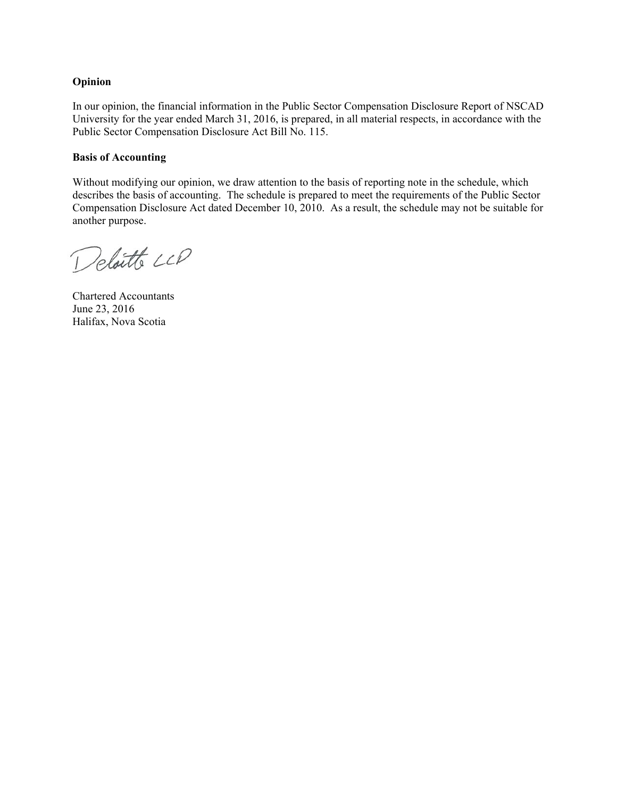#### **Opinion**

In our opinion, the financial information in the Public Sector Compensation Disclosure Report of NSCAD University for the year ended March 31, 2016, is prepared, in all material respects, in accordance with the Public Sector Compensation Disclosure Act Bill No. 115.

#### **Basis of Accounting**

Without modifying our opinion, we draw attention to the basis of reporting note in the schedule, which describes the basis of accounting. The schedule is prepared to meet the requirements of the Public Sector Compensation Disclosure Act dated December 10, 2010. As a result, the schedule may not be suitable for another purpose.

Deloitte LLP

Chartered Accountants June 23, 2016 Halifax, Nova Scotia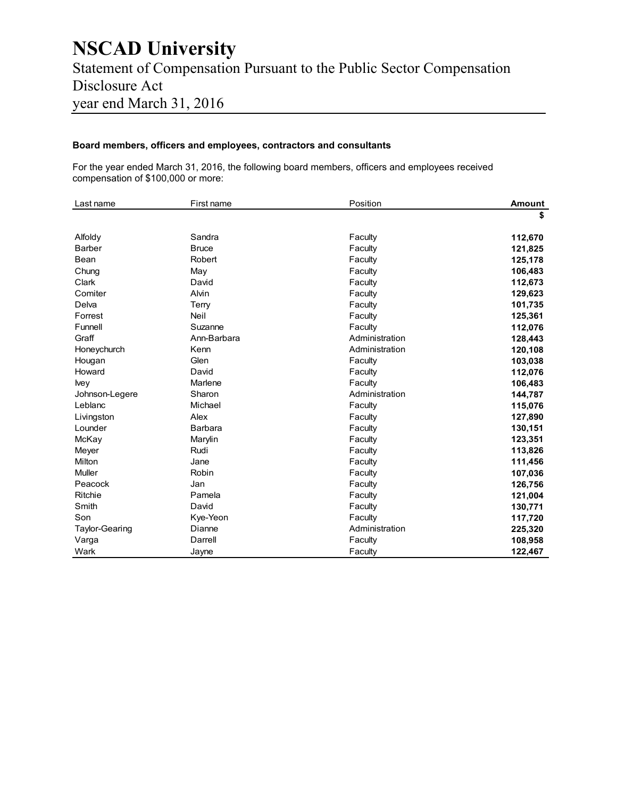## **NSCAD University**  Statement of Compensation Pursuant to the Public Sector Compensation Disclosure Act year end March 31, 2016

#### **Board members, officers and employees, contractors and consultants**

For the year ended March 31, 2016, the following board members, officers and employees received compensation of \$100,000 or more:

| Last name      | First name   | Position       | <b>Amount</b> |
|----------------|--------------|----------------|---------------|
|                |              |                | \$            |
| Alfoldy        | Sandra       | Faculty        | 112,670       |
| <b>Barber</b>  | <b>Bruce</b> | Faculty        | 121,825       |
| Bean           | Robert       | Faculty        | 125,178       |
| Chung          | May          | Faculty        | 106,483       |
| Clark          | David        | Faculty        | 112,673       |
| Comiter        | Alvin        | Faculty        | 129,623       |
| Delva          | Terry        | Faculty        | 101,735       |
| Forrest        | Neil         | Faculty        | 125,361       |
| Funnell        | Suzanne      | Faculty        | 112,076       |
| Graff          | Ann-Barbara  | Administration | 128,443       |
| Honeychurch    | Kenn         | Administration | 120,108       |
| Hougan         | Glen         | Faculty        | 103,038       |
| Howard         | David        | Faculty        | 112,076       |
| <b>Ivey</b>    | Marlene      | Faculty        | 106,483       |
| Johnson-Legere | Sharon       | Administration | 144,787       |
| Leblanc        | Michael      | Faculty        | 115,076       |
| Livingston     | Alex         | Faculty        | 127,890       |
| Lounder        | Barbara      | Faculty        | 130,151       |
| McKay          | Marylin      | Faculty        | 123,351       |
| Meyer          | Rudi         | Faculty        | 113,826       |
| Milton         | Jane         | Faculty        | 111,456       |
| Muller         | Robin        | Faculty        | 107,036       |
| Peacock        | Jan          | Faculty        | 126,756       |
| Ritchie        | Pamela       | Faculty        | 121,004       |
| Smith          | David        | Faculty        | 130,771       |
| Son            | Kye-Yeon     | Faculty        | 117,720       |
| Taylor-Gearing | Dianne       | Administration | 225,320       |
| Varga          | Darrell      | Faculty        | 108,958       |
| Wark           | Jayne        | Faculty        | 122,467       |